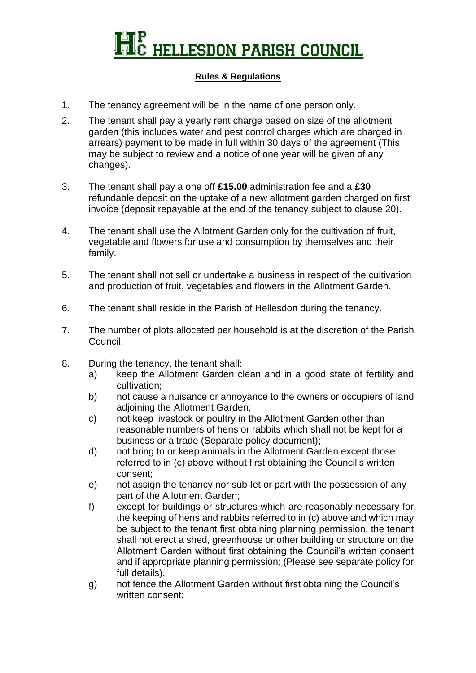## **HELLESDON PARISH COUNCIL**

## **Rules & Regulations**

- 1. The tenancy agreement will be in the name of one person only.
- 2. The tenant shall pay a yearly rent charge based on size of the allotment garden (this includes water and pest control charges which are charged in arrears) payment to be made in full within 30 days of the agreement (This may be subject to review and a notice of one year will be given of any changes).
- 3. The tenant shall pay a one off **£15.00** administration fee and a **£30** refundable deposit on the uptake of a new allotment garden charged on first invoice (deposit repayable at the end of the tenancy subject to clause 20).
- 4. The tenant shall use the Allotment Garden only for the cultivation of fruit, vegetable and flowers for use and consumption by themselves and their family.
- 5. The tenant shall not sell or undertake a business in respect of the cultivation and production of fruit, vegetables and flowers in the Allotment Garden.
- 6. The tenant shall reside in the Parish of Hellesdon during the tenancy.
- 7. The number of plots allocated per household is at the discretion of the Parish Council.
- 8. During the tenancy, the tenant shall:
	- a) keep the Allotment Garden clean and in a good state of fertility and cultivation;
	- b) not cause a nuisance or annoyance to the owners or occupiers of land adioining the Allotment Garden:
	- c) not keep livestock or poultry in the Allotment Garden other than reasonable numbers of hens or rabbits which shall not be kept for a business or a trade (Separate policy document);
	- d) not bring to or keep animals in the Allotment Garden except those referred to in (c) above without first obtaining the Council's written consent;
	- e) not assign the tenancy nor sub-let or part with the possession of any part of the Allotment Garden;
	- f) except for buildings or structures which are reasonably necessary for the keeping of hens and rabbits referred to in (c) above and which may be subject to the tenant first obtaining planning permission, the tenant shall not erect a shed, greenhouse or other building or structure on the Allotment Garden without first obtaining the Council's written consent and if appropriate planning permission; (Please see separate policy for full details).
	- g) not fence the Allotment Garden without first obtaining the Council's written consent;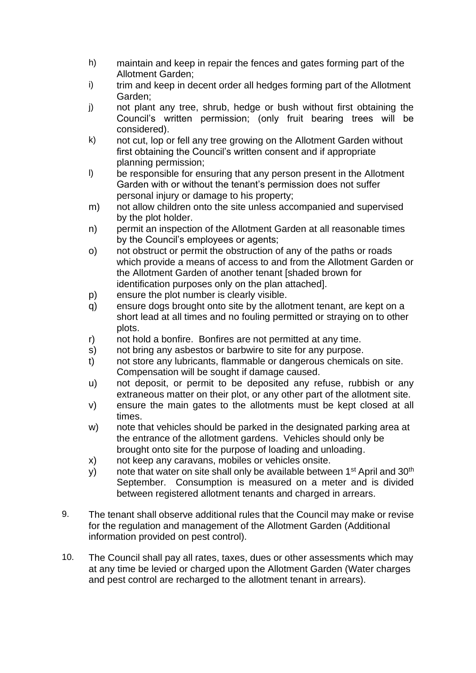- h) maintain and keep in repair the fences and gates forming part of the Allotment Garden;
- i) trim and keep in decent order all hedges forming part of the Allotment Garden;
- j) not plant any tree, shrub, hedge or bush without first obtaining the Council's written permission; (only fruit bearing trees will be considered).
- k) not cut, lop or fell any tree growing on the Allotment Garden without first obtaining the Council's written consent and if appropriate planning permission;
- l) be responsible for ensuring that any person present in the Allotment Garden with or without the tenant's permission does not suffer personal injury or damage to his property;
- m) not allow children onto the site unless accompanied and supervised by the plot holder.
- n) permit an inspection of the Allotment Garden at all reasonable times by the Council's employees or agents;
- o) not obstruct or permit the obstruction of any of the paths or roads which provide a means of access to and from the Allotment Garden or the Allotment Garden of another tenant [shaded brown for identification purposes only on the plan attached].
- p) ensure the plot number is clearly visible.
- q) ensure dogs brought onto site by the allotment tenant, are kept on a short lead at all times and no fouling permitted or straying on to other plots.
- r) not hold a bonfire. Bonfires are not permitted at any time.
- s) not bring any asbestos or barbwire to site for any purpose.
- t) not store any lubricants, flammable or dangerous chemicals on site. Compensation will be sought if damage caused.
- u) not deposit, or permit to be deposited any refuse, rubbish or any extraneous matter on their plot, or any other part of the allotment site.
- v) ensure the main gates to the allotments must be kept closed at all times.
- w) note that vehicles should be parked in the designated parking area at the entrance of the allotment gardens. Vehicles should only be brought onto site for the purpose of loading and unloading.
- x) not keep any caravans, mobiles or vehicles onsite.
- y) note that water on site shall only be available between 1<sup>st</sup> April and 30<sup>th</sup> September. Consumption is measured on a meter and is divided between registered allotment tenants and charged in arrears.
- 9. The tenant shall observe additional rules that the Council may make or revise for the regulation and management of the Allotment Garden (Additional information provided on pest control).
- 10. The Council shall pay all rates, taxes, dues or other assessments which may at any time be levied or charged upon the Allotment Garden (Water charges and pest control are recharged to the allotment tenant in arrears).